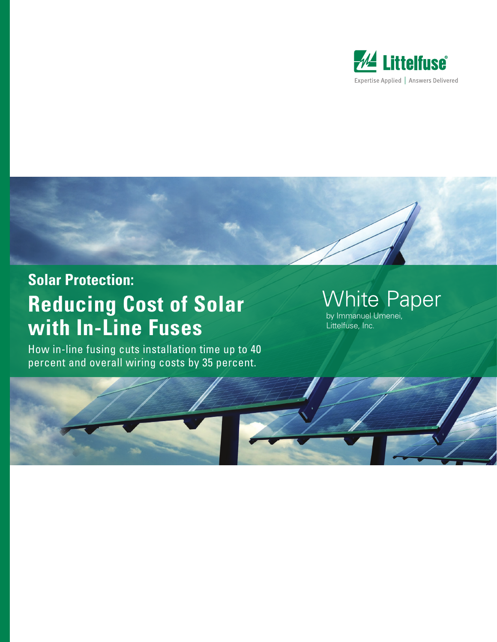



### **Solar Protection:**

# **Reducing Cost of Solar with In-Line Fuses**

How in-line fusing cuts installation time up to 40 percent and overall wiring costs by 35 percent.

## White Paper

by Immanuel Umenei, Littelfuse, Inc.

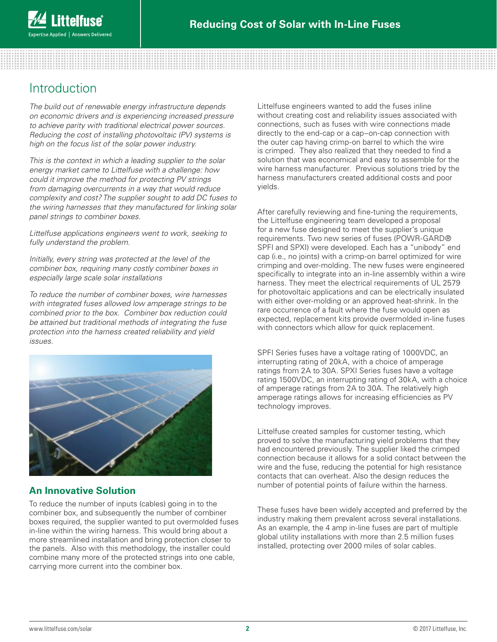### Introduction

*The build out of renewable energy infrastructure depends on economic drivers and is experiencing increased pressure to achieve parity with traditional electrical power sources. Reducing the cost of installing photovoltaic (PV) systems is high on the focus list of the solar power industry.*

*This is the context in which a leading supplier to the solar energy market came to Littelfuse with a challenge: how could it improve the method for protecting PV strings from damaging overcurrents in a way that would reduce complexity and cost? The supplier sought to add DC fuses to the wiring harnesses that they manufactured for linking solar panel strings to combiner boxes.* 

*Littelfuse applications engineers went to work, seeking to fully understand the problem.*

*Initially, every string was protected at the level of the combiner box, requiring many costly combiner boxes in especially large scale solar installations*

*To reduce the number of combiner boxes, wire harnesses with integrated fuses allowed low amperage strings to be combined prior to the box. Combiner box reduction could be attained but traditional methods of integrating the fuse protection into the harness created reliability and yield issues.*



#### **An Innovative Solution**

To reduce the number of inputs (cables) going in to the combiner box, and subsequently the number of combiner boxes required, the supplier wanted to put overmolded fuses in-line within the wiring harness. This would bring about a more streamlined installation and bring protection closer to the panels. Also with this methodology, the installer could combine many more of the protected strings into one cable, carrying more current into the combiner box.

Littelfuse engineers wanted to add the fuses inline without creating cost and reliability issues associated with connections, such as fuses with wire connections made directly to the end-cap or a cap–on-cap connection with the outer cap having crimp-on barrel to which the wire is crimped. They also realized that they needed to find a solution that was economical and easy to assemble for the wire harness manufacturer. Previous solutions tried by the harness manufacturers created additional costs and poor yields.

After carefully reviewing and fine-tuning the requirements, the Littelfuse engineering team developed a proposal for a new fuse designed to meet the supplier's unique requirements. Two new series of fuses (POWR-GARD® SPFI and SPXI) were developed. Each has a "unibody" end cap (i.e., no joints) with a crimp-on barrel optimized for wire crimping and over-molding. The new fuses were engineered specifically to integrate into an in-line assembly within a wire harness. They meet the electrical requirements of UL 2579 for photovoltaic applications and can be electrically insulated with either over-molding or an approved heat-shrink. In the rare occurrence of a fault where the fuse would open as expected, replacement kits provide overmolded in-line fuses with connectors which allow for quick replacement.

SPFI Series fuses have a voltage rating of 1000VDC, an interrupting rating of 20kA, with a choice of amperage ratings from 2A to 30A. SPXI Series fuses have a voltage rating 1500VDC, an interrupting rating of 30kA, with a choice of amperage ratings from 2A to 30A. The relatively high amperage ratings allows for increasing efficiencies as PV technology improves.

Littelfuse created samples for customer testing, which proved to solve the manufacturing yield problems that they had encountered previously. The supplier liked the crimped connection because it allows for a solid contact between the wire and the fuse, reducing the potential for high resistance contacts that can overheat. Also the design reduces the number of potential points of failure within the harness.

These fuses have been widely accepted and preferred by the industry making them prevalent across several installations. As an example, the 4 amp in-line fuses are part of multiple global utility installations with more than 2.5 million fuses installed, protecting over 2000 miles of solar cables.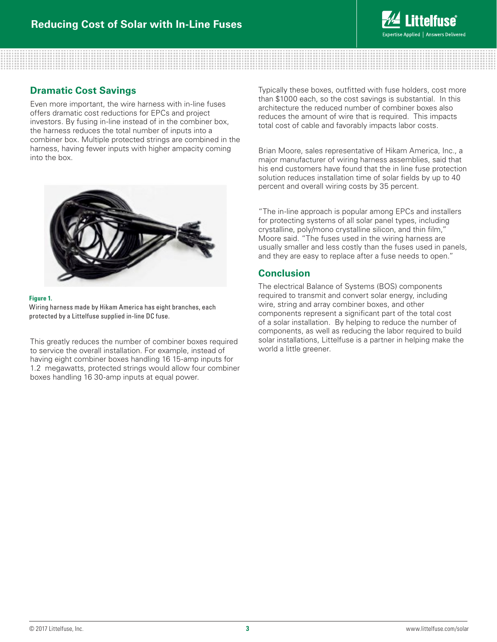

#### **Dramatic Cost Savings**

Even more important, the wire harness with in-line fuses offers dramatic cost reductions for EPCs and project investors. By fusing in-line instead of in the combiner box, the harness reduces the total number of inputs into a combiner box. Multiple protected strings are combined in the harness, having fewer inputs with higher ampacity coming into the box.



#### **Figure 1.**

Wiring harness made by Hikam America has eight branches, each protected by a Littelfuse supplied in-line DC fuse.

This greatly reduces the number of combiner boxes required to service the overall installation. For example, instead of having eight combiner boxes handling 16 15-amp inputs for 1.2 megawatts, protected strings would allow four combiner boxes handling 16 30-amp inputs at equal power.

Typically these boxes, outfitted with fuse holders, cost more than \$1000 each, so the cost savings is substantial. In this architecture the reduced number of combiner boxes also reduces the amount of wire that is required. This impacts total cost of cable and favorably impacts labor costs.

Brian Moore, sales representative of Hikam America, Inc., a major manufacturer of wiring harness assemblies, said that his end customers have found that the in line fuse protection solution reduces installation time of solar fields by up to 40 percent and overall wiring costs by 35 percent.

"The in-line approach is popular among EPCs and installers for protecting systems of all solar panel types, including crystalline, poly/mono crystalline silicon, and thin film," Moore said. "The fuses used in the wiring harness are usually smaller and less costly than the fuses used in panels, and they are easy to replace after a fuse needs to open."

#### **Conclusion**

The electrical Balance of Systems (BOS) components required to transmit and convert solar energy, including wire, string and array combiner boxes, and other components represent a significant part of the total cost of a solar installation. By helping to reduce the number of components, as well as reducing the labor required to build solar installations, Littelfuse is a partner in helping make the world a little greener.